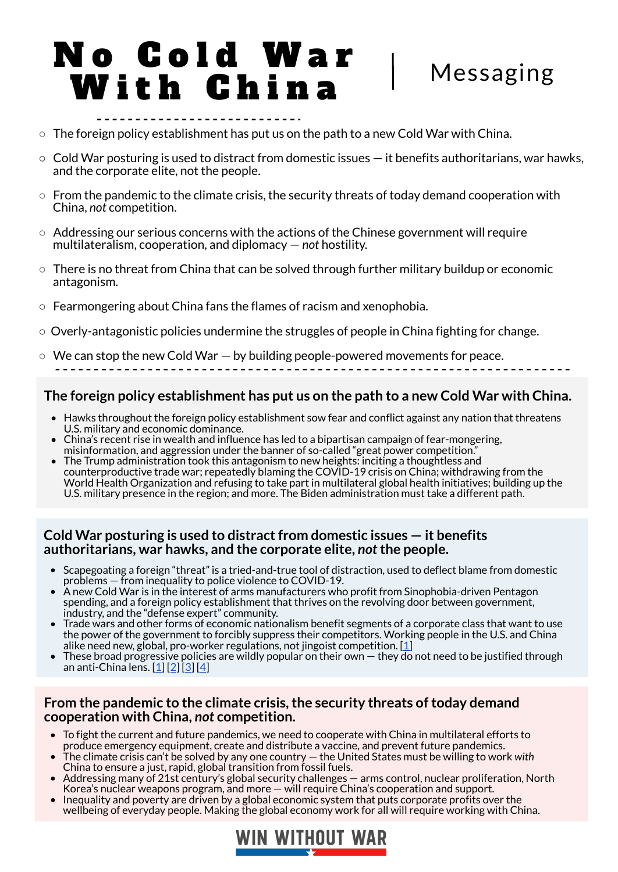## **The foreign policy establishment has put us on the path to a new Cold War with China.**

- Hawks throughout the foreign policy establishment sow fear and conflict against any nation that threatens U.S. military and economic dominance.
- China's recent rise in wealth and influence has led to a bipartisan campaign of fear-mongering, misinformation, and aggression under the banner of so-called "great power competition."
- The Trump administration took this antagonism to new heights: inciting a thoughtless and counterproductive trade war; repeatedly blaming the COVID-19 crisis on China; withdrawing from the World Health Organization and refusing to take part in multilateral global health initiatives; building up the U.S. military presence in the region; and more. The Biden administration must take a different path.

#### **Cold War posturing is used to distractfrom domestic issues — it benefits authoritarians, war hawks, and the corporate elite,** *not***the people.**

#### **From the pandemic to the climate crisis,the security threats of today demand cooperation with China,** *not* **competition.**

- Scapegoating a foreign "threat" is a tried-and-true tool of distraction, used to deflect blame from domestic problems — from inequality to police violence to COVID-19.
- A new Cold War is in the interest of arms manufacturers who profit from Sinophobia-driven Pentagon spending, and a foreign policy establishment that thrives on the revolving door between government, industry, and the "defense expert" community. Trade wars and other forms of economic nationalism benefit segments of a corporate class that want to use the power of the government to forcibly suppress their competitors. Working people in the U.S. and China alike need new, global, pro-worker regulations, not jingoist competition.  $[1]$  $[1]$ • These broad progressive policies are wildly popular on their own  $-$  they do not need to be justified through an anti-China lens. [\[1](https://www.dataforprogress.org/the-green-new-deal-is-popular)] [[2\]](https://thehill.com/hilltv/what-americas-thinking/494602-poll-69-percent-of-voters-support-medicare-for-all) [[3\]](https://thehill.com/hilltv/468236-majority-of-voters-support-a-federal-jobs-guarantee-program) [[4\]](https://www.dataforprogress.org/blog/2021/1/25/americans-want-biden-to-go-big-on-coronavirus-relief)

# N o C o l d W a r W i t h C h i n a Messaging

- $\circ$  The foreign policy establishment has put us on the path to a new Cold War with China.
- $\circ$  Cold War posturing is used to distract from domestic issues  $-$  it benefits authoritarians, war hawks, and the corporate elite, not the people.
- $\circ$  From the pandemic to the climate crisis, the security threats of today demand cooperation with China, *not* competition.
- $\circ$  Addressing our serious concerns with the actions of the Chinese government will require multilateralism, cooperation, and diplomacy — *not* hostility.
- $\circ$  There is no threat from China that can be solved through further military buildup or economic antagonism.
- $\circ$  Fearmongering about China fans the flames of racism and xenophobia.
- $\circ$  Overly-antagonistic policies undermine the struggles of people in China fighting for change.
- $\circ$  We can stop the new Cold War  $-$  by building people-powered movements for peace.

- To fight the current and future pandemics, we need to cooperate with China in multilateral efforts to produce emergency equipment, create and distribute a vaccine, and prevent future pandemics.
- The climate crisis can't be solved by any one country the United States must be willing to work *with* China to ensure a just, rapid, global transition from fossil fuels.
- Addressing many of 21st century's global security challenges arms control, nuclear proliferation, North Korea's nuclear weapons program, and more — will require China's cooperation and support.
- Inequality and poverty are driven by a global economic system that puts corporate profits over the wellbeing of everyday people. Making the global economy work for all will require working with China.